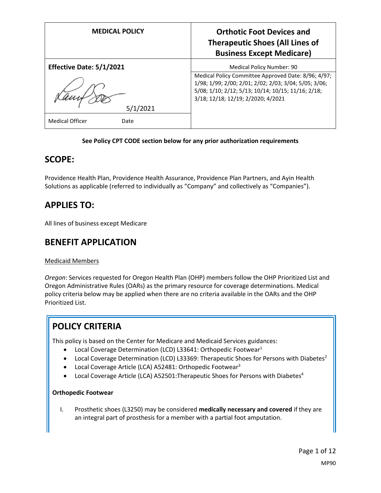| <b>MEDICAL POLICY</b>          | <b>Orthotic Foot Devices and</b><br><b>Therapeutic Shoes (All Lines of</b><br><b>Business Except Medicare)</b>                                                                                           |
|--------------------------------|----------------------------------------------------------------------------------------------------------------------------------------------------------------------------------------------------------|
| Effective Date: 5/1/2021       | Medical Policy Number: 90                                                                                                                                                                                |
|                                | Medical Policy Committee Approved Date: 8/96; 4/97;<br>1/98; 1/99; 2/00; 2/01; 2/02; 2/03; 3/04; 5/05; 3/06;<br>5/08; 1/10; 2/12; 5/13; 10/14; 10/15; 11/16; 2/18;<br>3/18; 12/18; 12/19; 2/2020; 4/2021 |
| 5/1/2021                       |                                                                                                                                                                                                          |
| <b>Medical Officer</b><br>Date |                                                                                                                                                                                                          |

### **See Policy CPT CODE section below for any prior authorization requirements**

## **SCOPE:**

Providence Health Plan, Providence Health Assurance, Providence Plan Partners, and Ayin Health Solutions as applicable (referred to individually as "Company" and collectively as "Companies").

## **APPLIES TO:**

All lines of business except Medicare

## **BENEFIT APPLICATION**

### Medicaid Members

*Oregon*: Services requested for Oregon Health Plan (OHP) members follow the OHP Prioritized List and Oregon Administrative Rules (OARs) as the primary resource for coverage determinations. Medical policy criteria below may be applied when there are no criteria available in the OARs and the OHP Prioritized List.

# **POLICY CRITERIA**

This policy is based on the Center for Medicare and Medicaid Services guidances:

- Local Coverage Determination (LCD) L33641: Orthopedic Footwear<sup>1</sup>
- Local Coverage Determination (LCD) L33369: Therapeutic Shoes for Persons with Diabetes<sup>2</sup>
- Local Coverage Article (LCA) A52481: Orthopedic Footwear<sup>3</sup>
- Local Coverage Article (LCA) A52501: The rapeutic Shoes for Persons with Diabetes<sup>4</sup>

#### **Orthopedic Footwear**

I. Prosthetic shoes (L3250) may be considered **medically necessary and covered** if they are an integral part of prosthesis for a member with a partial foot amputation.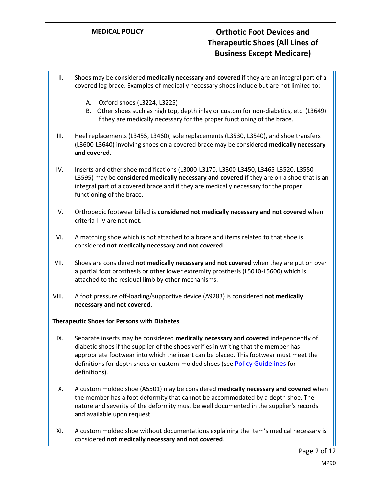- II. Shoes may be considered **medically necessary and covered** if they are an integral part of a covered leg brace. Examples of medically necessary shoes include but are not limited to:
	- A. Oxford shoes (L3224, L3225)
	- B. Other shoes such as high top, depth inlay or custom for non-diabetics, etc. (L3649) if they are medically necessary for the proper functioning of the brace.
- III. Heel replacements (L3455, L3460), sole replacements (L3530, L3540), and shoe transfers (L3600-L3640) involving shoes on a covered brace may be considered **medically necessary and covered**.
- IV. Inserts and other shoe modifications (L3000-L3170, L3300-L3450, L3465-L3520, L3550- L3595) may be **considered medically necessary and covered** if they are on a shoe that is an integral part of a covered brace and if they are medically necessary for the proper functioning of the brace.
- V. Orthopedic footwear billed is **considered not medically necessary and not covered** when criteria I-IV are not met.
- VI. A matching shoe which is not attached to a brace and items related to that shoe is considered **not medically necessary and not covered**.
- VII. Shoes are considered **not medically necessary and not covered** when they are put on over a partial foot prosthesis or other lower extremity prosthesis (L5010-L5600) which is attached to the residual limb by other mechanisms.
- VIII. A foot pressure off-loading/supportive device (A9283) is considered **not medically necessary and not covered**.

#### **Therapeutic Shoes for Persons with Diabetes**

- IX. Separate inserts may be considered **medically necessary and covered** independently of diabetic shoes if the supplier of the shoes verifies in writing that the member has appropriate footwear into which the insert can be placed. This footwear must meet the definitions for depth shoes or custom-molded shoes (see [Policy Guidelines](#page-3-0) for definitions).
- X. A custom molded shoe (A5501) may be considered **medically necessary and covered** when the member has a foot deformity that cannot be accommodated by a depth shoe. The nature and severity of the deformity must be well documented in the supplier's records and available upon request.
- XI. A custom molded shoe without documentations explaining the item's medical necessary is considered **not medically necessary and not covered**.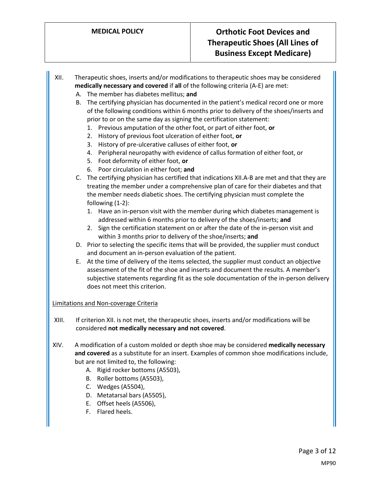- XII. Therapeutic shoes, inserts and/or modifications to therapeutic shoes may be considered **medically necessary and covered** if **all** of the following criteria (A-E) are met:
	- A. The member has diabetes mellitus; **and**
	- B. The certifying physician has documented in the patient's medical record one or more of the following conditions within 6 months prior to delivery of the shoes/inserts and prior to or on the same day as signing the certification statement:
		- 1. Previous amputation of the other foot, or part of either foot, **or**
		- 2. History of previous foot ulceration of either foot, **or**
		- 3. History of pre-ulcerative calluses of either foot, **or**
		- 4. Peripheral neuropathy with evidence of callus formation of either foot, or
		- 5. Foot deformity of either foot, **or**
		- 6. Poor circulation in either foot; **and**
	- C. The certifying physician has certified that indications XII.A-B are met and that they are treating the member under a comprehensive plan of care for their diabetes and that the member needs diabetic shoes. The certifying physician must complete the following (1-2):
		- 1. Have an in-person visit with the member during which diabetes management is addressed within 6 months prior to delivery of the shoes/inserts; **and**
		- 2. Sign the certification statement on or after the date of the in-person visit and within 3 months prior to delivery of the shoe/inserts; **and**
	- D. Prior to selecting the specific items that will be provided, the supplier must conduct and document an in-person evaluation of the patient.
	- E. At the time of delivery of the items selected, the supplier must conduct an objective assessment of the fit of the shoe and inserts and document the results. A member's subjective statements regarding fit as the sole documentation of the in-person delivery does not meet this criterion.

#### Limitations and Non-coverage Criteria

- XIII. If criterion XII. is not met, the therapeutic shoes, inserts and/or modifications will be considered **not medically necessary and not covered**.
- XIV. A modification of a custom molded or depth shoe may be considered **medically necessary and covered** as a substitute for an insert. Examples of common shoe modifications include, but are not limited to, the following:
	- A. Rigid rocker bottoms (A5503),
	- B. Roller bottoms (A5503),
	- C. Wedges (A5504),
	- D. Metatarsal bars (A5505),
	- E. Offset heels (A5506),
	- F. Flared heels.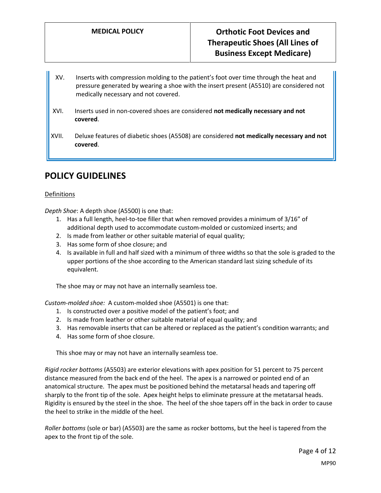- XV. Inserts with compression molding to the patient's foot over time through the heat and pressure generated by wearing a shoe with the insert present (A5510) are considered not medically necessary and not covered.
- XVI. Inserts used in non-covered shoes are considered **not medically necessary and not covered**.
- XVII. Deluxe features of diabetic shoes (A5508) are considered **not medically necessary and not covered**.

## **POLICY GUIDELINES**

#### <span id="page-3-0"></span>**Definitions**

*Depth Shoe*: A depth shoe (A5500) is one that:

- 1. Has a full length, heel-to-toe filler that when removed provides a minimum of 3/16" of additional depth used to accommodate custom-molded or customized inserts; and
- 2. Is made from leather or other suitable material of equal quality;
- 3. Has some form of shoe closure; and
- 4. Is available in full and half sized with a minimum of three widths so that the sole is graded to the upper portions of the shoe according to the American standard last sizing schedule of its equivalent.

The shoe may or may not have an internally seamless toe.

*Custom-molded shoe:* A custom-molded shoe (A5501) is one that:

- 1. Is constructed over a positive model of the patient's foot; and
- 2. Is made from leather or other suitable material of equal quality; and
- 3. Has removable inserts that can be altered or replaced as the patient's condition warrants; and
- 4. Has some form of shoe closure.

This shoe may or may not have an internally seamless toe.

*Rigid rocker bottoms* (A5503) are exterior elevations with apex position for 51 percent to 75 percent distance measured from the back end of the heel. The apex is a narrowed or pointed end of an anatomical structure. The apex must be positioned behind the metatarsal heads and tapering off sharply to the front tip of the sole. Apex height helps to eliminate pressure at the metatarsal heads. Rigidity is ensured by the steel in the shoe. The heel of the shoe tapers off in the back in order to cause the heel to strike in the middle of the heel.

*Roller bottoms* (sole or bar) (A5503) are the same as rocker bottoms, but the heel is tapered from the apex to the front tip of the sole.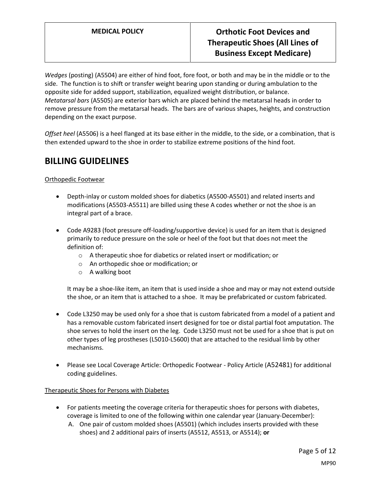*Wedges* (posting) (A5504) are either of hind foot, fore foot, or both and may be in the middle or to the side. The function is to shift or transfer weight bearing upon standing or during ambulation to the opposite side for added support, stabilization, equalized weight distribution, or balance. *Metatarsal bars* (A5505) are exterior bars which are placed behind the metatarsal heads in order to remove pressure from the metatarsal heads. The bars are of various shapes, heights, and construction depending on the exact purpose.

*Offset heel* (A5506) is a heel flanged at its base either in the middle, to the side, or a combination, that is then extended upward to the shoe in order to stabilize extreme positions of the hind foot.

## **BILLING GUIDELINES**

### Orthopedic Footwear

- Depth-inlay or custom molded shoes for diabetics (A5500-A5501) and related inserts and modifications (A5503-A5511) are billed using these A codes whether or not the shoe is an integral part of a brace.
- Code A9283 (foot pressure off-loading/supportive device) is used for an item that is designed primarily to reduce pressure on the sole or heel of the foot but that does not meet the definition of:
	- o A therapeutic shoe for diabetics or related insert or modification; or
	- o An orthopedic shoe or modification; or
	- o A walking boot

It may be a shoe-like item, an item that is used inside a shoe and may or may not extend outside the shoe, or an item that is attached to a shoe. It may be prefabricated or custom fabricated.

- Code L3250 may be used only for a shoe that is custom fabricated from a model of a patient and has a removable custom fabricated insert designed for toe or distal partial foot amputation. The shoe serves to hold the insert on the leg. Code L3250 must not be used for a shoe that is put on other types of leg prostheses (L5010-L5600) that are attached to the residual limb by other mechanisms.
- Please see Local Coverage Article: Orthopedic Footwear Policy Article (A52481) for additional coding guidelines.

### Therapeutic Shoes for Persons with Diabetes

- For patients meeting the coverage criteria for therapeutic shoes for persons with diabetes, coverage is limited to one of the following within one calendar year (January-December):
	- A. One pair of custom molded shoes (A5501) (which includes inserts provided with these shoes) and 2 additional pairs of inserts (A5512, A5513, or A5514); **or**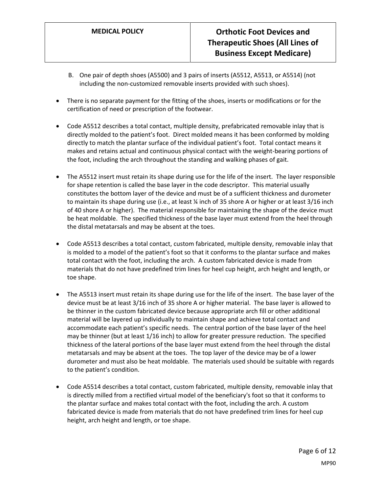- B. One pair of depth shoes (A5500) and 3 pairs of inserts (A5512, A5513, or A5514) (not including the non-customized removable inserts provided with such shoes).
- There is no separate payment for the fitting of the shoes, inserts or modifications or for the certification of need or prescription of the footwear.
- Code A5512 describes a total contact, multiple density, prefabricated removable inlay that is directly molded to the patient's foot. Direct molded means it has been conformed by molding directly to match the plantar surface of the individual patient's foot. Total contact means it makes and retains actual and continuous physical contact with the weight-bearing portions of the foot, including the arch throughout the standing and walking phases of gait.
- The A5512 insert must retain its shape during use for the life of the insert. The layer responsible for shape retention is called the base layer in the code descriptor. This material usually constitutes the bottom layer of the device and must be of a sufficient thickness and durometer to maintain its shape during use (i.e., at least % inch of 35 shore A or higher or at least 3/16 inch of 40 shore A or higher). The material responsible for maintaining the shape of the device must be heat moldable. The specified thickness of the base layer must extend from the heel through the distal metatarsals and may be absent at the toes.
- Code A5513 describes a total contact, custom fabricated, multiple density, removable inlay that is molded to a model of the patient's foot so that it conforms to the plantar surface and makes total contact with the foot, including the arch. A custom fabricated device is made from materials that do not have predefined trim lines for heel cup height, arch height and length, or toe shape.
- The A5513 insert must retain its shape during use for the life of the insert. The base layer of the device must be at least 3/16 inch of 35 shore A or higher material. The base layer is allowed to be thinner in the custom fabricated device because appropriate arch fill or other additional material will be layered up individually to maintain shape and achieve total contact and accommodate each patient's specific needs. The central portion of the base layer of the heel may be thinner (but at least 1/16 inch) to allow for greater pressure reduction. The specified thickness of the lateral portions of the base layer must extend from the heel through the distal metatarsals and may be absent at the toes. The top layer of the device may be of a lower durometer and must also be heat moldable. The materials used should be suitable with regards to the patient's condition.
- Code A5514 describes a total contact, custom fabricated, multiple density, removable inlay that is directly milled from a rectified virtual model of the beneficiary's foot so that it conforms to the plantar surface and makes total contact with the foot, including the arch. A custom fabricated device is made from materials that do not have predefined trim lines for heel cup height, arch height and length, or toe shape.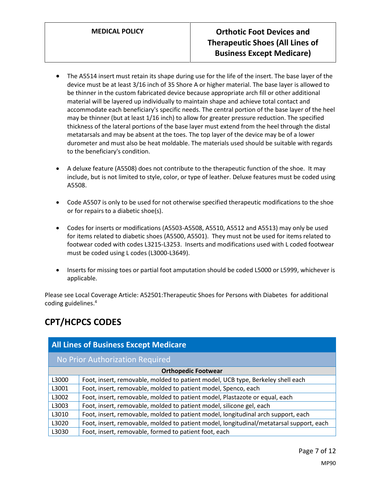- The A5514 insert must retain its shape during use for the life of the insert. The base layer of the device must be at least 3/16 inch of 35 Shore A or higher material. The base layer is allowed to be thinner in the custom fabricated device because appropriate arch fill or other additional material will be layered up individually to maintain shape and achieve total contact and accommodate each beneficiary's specific needs. The central portion of the base layer of the heel may be thinner (but at least 1/16 inch) to allow for greater pressure reduction. The specified thickness of the lateral portions of the base layer must extend from the heel through the distal metatarsals and may be absent at the toes. The top layer of the device may be of a lower durometer and must also be heat moldable. The materials used should be suitable with regards to the beneficiary's condition.
- A deluxe feature (A5508) does not contribute to the therapeutic function of the shoe. It may include, but is not limited to style, color, or type of leather. Deluxe features must be coded using A5508.
- Code A5507 is only to be used for not otherwise specified therapeutic modifications to the shoe or for repairs to a diabetic shoe(s).
- Codes for inserts or modifications (A5503-A5508, A5510, A5512 and A5513) may only be used for items related to diabetic shoes (A5500, A5501). They must not be used for items related to footwear coded with codes L3215-L3253. Inserts and modifications used with L coded footwear must be coded using L codes (L3000-L3649).
- Inserts for missing toes or partial foot amputation should be coded L5000 or L5999, whichever is applicable.

Please see Local Coverage Article: A52501:Therapeutic Shoes for Persons with Diabetes for additional coding guidelines.<sup>4</sup>

# **CPT/HCPCS CODES**

| <b>All Lines of Business Except Medicare</b> |                                                                                         |  |
|----------------------------------------------|-----------------------------------------------------------------------------------------|--|
| No Prior Authorization Required              |                                                                                         |  |
| <b>Orthopedic Footwear</b>                   |                                                                                         |  |
| L3000                                        | Foot, insert, removable, molded to patient model, UCB type, Berkeley shell each         |  |
| L3001                                        | Foot, insert, removable, molded to patient model, Spenco, each                          |  |
| L3002                                        | Foot, insert, removable, molded to patient model, Plastazote or equal, each             |  |
| L3003                                        | Foot, insert, removable, molded to patient model, silicone gel, each                    |  |
| L3010                                        | Foot, insert, removable, molded to patient model, longitudinal arch support, each       |  |
| L3020                                        | Foot, insert, removable, molded to patient model, longitudinal/metatarsal support, each |  |
| L3030                                        | Foot, insert, removable, formed to patient foot, each                                   |  |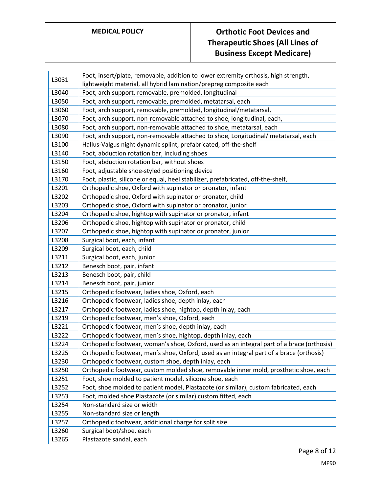| L3031 | Foot, insert/plate, removable, addition to lower extremity orthosis, high strength,       |
|-------|-------------------------------------------------------------------------------------------|
|       | lightweight material, all hybrid lamination/prepreg composite each                        |
| L3040 | Foot, arch support, removable, premolded, longitudinal                                    |
| L3050 | Foot, arch support, removable, premolded, metatarsal, each                                |
| L3060 | Foot, arch support, removable, premolded, longitudinal/metatarsal,                        |
| L3070 | Foot, arch support, non-removable attached to shoe, longitudinal, each,                   |
| L3080 | Foot, arch support, non-removable attached to shoe, metatarsal, each                      |
| L3090 | Foot, arch support, non-removable attached to shoe, Longitudinal/ metatarsal, each        |
| L3100 | Hallus-Valgus night dynamic splint, prefabricated, off-the-shelf                          |
| L3140 | Foot, abduction rotation bar, including shoes                                             |
| L3150 | Foot, abduction rotation bar, without shoes                                               |
| L3160 | Foot, adjustable shoe-styled positioning device                                           |
| L3170 | Foot, plastic, silicone or equal, heel stabilizer, prefabricated, off-the-shelf,          |
| L3201 | Orthopedic shoe, Oxford with supinator or pronator, infant                                |
| L3202 | Orthopedic shoe, Oxford with supinator or pronator, child                                 |
| L3203 | Orthopedic shoe, Oxford with supinator or pronator, junior                                |
| L3204 | Orthopedic shoe, hightop with supinator or pronator, infant                               |
| L3206 | Orthopedic shoe, hightop with supinator or pronator, child                                |
| L3207 | Orthopedic shoe, hightop with supinator or pronator, junior                               |
| L3208 | Surgical boot, each, infant                                                               |
| L3209 | Surgical boot, each, child                                                                |
| L3211 | Surgical boot, each, junior                                                               |
| L3212 | Benesch boot, pair, infant                                                                |
| L3213 | Benesch boot, pair, child                                                                 |
| L3214 | Benesch boot, pair, junior                                                                |
| L3215 | Orthopedic footwear, ladies shoe, Oxford, each                                            |
| L3216 | Orthopedic footwear, ladies shoe, depth inlay, each                                       |
| L3217 | Orthopedic footwear, ladies shoe, hightop, depth inlay, each                              |
| L3219 | Orthopedic footwear, men's shoe, Oxford, each                                             |
| L3221 | Orthopedic footwear, men's shoe, depth inlay, each                                        |
| L3222 | Orthopedic footwear, men's shoe, hightop, depth inlay, each                               |
| L3224 | Orthopedic footwear, woman's shoe, Oxford, used as an integral part of a brace (orthosis) |
| L3225 | Orthopedic footwear, man's shoe, Oxford, used as an integral part of a brace (orthosis)   |
| L3230 | Orthopedic footwear, custom shoe, depth inlay, each                                       |
| L3250 | Orthopedic footwear, custom molded shoe, removable inner mold, prosthetic shoe, each      |
| L3251 | Foot, shoe molded to patient model, silicone shoe, each                                   |
| L3252 | Foot, shoe molded to patient model, Plastazote (or similar), custom fabricated, each      |
| L3253 | Foot, molded shoe Plastazote (or similar) custom fitted, each                             |
| L3254 | Non-standard size or width                                                                |
| L3255 | Non-standard size or length                                                               |
| L3257 | Orthopedic footwear, additional charge for split size                                     |
| L3260 | Surgical boot/shoe, each                                                                  |
| L3265 | Plastazote sandal, each                                                                   |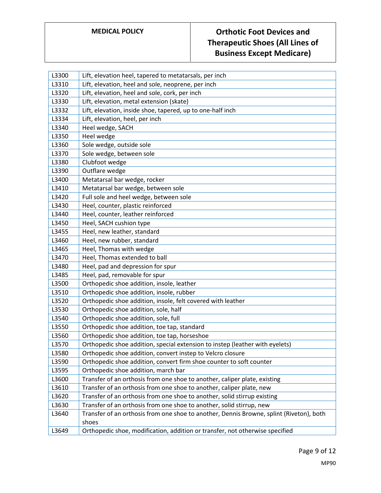| L3300 | Lift, elevation heel, tapered to metatarsals, per inch                                           |
|-------|--------------------------------------------------------------------------------------------------|
| L3310 | Lift, elevation, heel and sole, neoprene, per inch                                               |
| L3320 | Lift, elevation, heel and sole, cork, per inch                                                   |
| L3330 | Lift, elevation, metal extension (skate)                                                         |
| L3332 | Lift, elevation, inside shoe, tapered, up to one-half inch                                       |
| L3334 | Lift, elevation, heel, per inch                                                                  |
| L3340 | Heel wedge, SACH                                                                                 |
| L3350 | Heel wedge                                                                                       |
| L3360 | Sole wedge, outside sole                                                                         |
| L3370 | Sole wedge, between sole                                                                         |
| L3380 | Clubfoot wedge                                                                                   |
| L3390 | Outflare wedge                                                                                   |
| L3400 | Metatarsal bar wedge, rocker                                                                     |
| L3410 | Metatarsal bar wedge, between sole                                                               |
| L3420 | Full sole and heel wedge, between sole                                                           |
| L3430 | Heel, counter, plastic reinforced                                                                |
| L3440 | Heel, counter, leather reinforced                                                                |
| L3450 | Heel, SACH cushion type                                                                          |
| L3455 | Heel, new leather, standard                                                                      |
| L3460 | Heel, new rubber, standard                                                                       |
| L3465 | Heel, Thomas with wedge                                                                          |
| L3470 | Heel, Thomas extended to ball                                                                    |
| L3480 | Heel, pad and depression for spur                                                                |
| L3485 | Heel, pad, removable for spur                                                                    |
| L3500 | Orthopedic shoe addition, insole, leather                                                        |
| L3510 | Orthopedic shoe addition, insole, rubber                                                         |
| L3520 | Orthopedic shoe addition, insole, felt covered with leather                                      |
| L3530 | Orthopedic shoe addition, sole, half                                                             |
| L3540 | Orthopedic shoe addition, sole, full                                                             |
| L3550 | Orthopedic shoe addition, toe tap, standard                                                      |
| L3560 | Orthopedic shoe addition, toe tap, horseshoe                                                     |
| L3570 | Orthopedic shoe addition, special extension to instep (leather with eyelets)                     |
| L3580 | Orthopedic shoe addition, convert instep to Velcro closure                                       |
| L3590 | Orthopedic shoe addition, convert firm shoe counter to soft counter                              |
| L3595 | Orthopedic shoe addition, march bar                                                              |
| L3600 | Transfer of an orthosis from one shoe to another, caliper plate, existing                        |
| L3610 | Transfer of an orthosis from one shoe to another, caliper plate, new                             |
| L3620 | Transfer of an orthosis from one shoe to another, solid stirrup existing                         |
| L3630 | Transfer of an orthosis from one shoe to another, solid stirrup, new                             |
| L3640 | Transfer of an orthosis from one shoe to another, Dennis Browne, splint (Riveton), both<br>shoes |
| L3649 | Orthopedic shoe, modification, addition or transfer, not otherwise specified                     |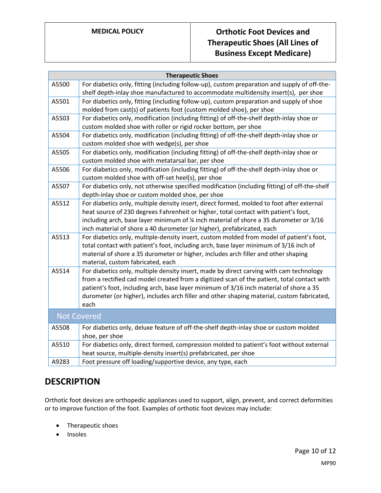| <b>Therapeutic Shoes</b> |                                                                                                                                                                                                                                                                                                                                                                                        |  |
|--------------------------|----------------------------------------------------------------------------------------------------------------------------------------------------------------------------------------------------------------------------------------------------------------------------------------------------------------------------------------------------------------------------------------|--|
| A5500                    | For diabetics only, fitting (including follow-up), custom preparation and supply of off-the-<br>shelf depth-inlay shoe manufactured to accommodate multidensity insert(s), per shoe                                                                                                                                                                                                    |  |
| A5501                    | For diabetics only, fitting (including follow-up), custom preparation and supply of shoe<br>molded from cast(s) of patients foot (custom molded shoe), per shoe                                                                                                                                                                                                                        |  |
| A5503                    | For diabetics only, modification (including fitting) of off-the-shelf depth-inlay shoe or<br>custom molded shoe with roller or rigid rocker bottom, per shoe                                                                                                                                                                                                                           |  |
| A5504                    | For diabetics only, modification (including fitting) of off-the-shelf depth-inlay shoe or<br>custom molded shoe with wedge(s), per shoe                                                                                                                                                                                                                                                |  |
| A5505                    | For diabetics only, modification (including fitting) of off-the-shelf depth-inlay shoe or<br>custom molded shoe with metatarsal bar, per shoe                                                                                                                                                                                                                                          |  |
| A5506                    | For diabetics only, modification (including fitting) of off-the-shelf depth-inlay shoe or<br>custom molded shoe with off-set heel(s), per shoe                                                                                                                                                                                                                                         |  |
| A5507                    | For diabetics only, not otherwise specified modification (including fitting) of off-the-shelf<br>depth-inlay shoe or custom molded shoe, per shoe                                                                                                                                                                                                                                      |  |
| A5512                    | For diabetics only, multiple density insert, direct formed, molded to foot after external<br>heat source of 230 degrees Fahrenheit or higher, total contact with patient's foot,<br>including arch, base layer minimum of % inch material of shore a 35 durometer or 3/16<br>inch material of shore a 40 durometer (or higher), prefabricated, each                                    |  |
| A5513                    | For diabetics only, multiple-density insert, custom molded from model of patient's foot,<br>total contact with patient's foot, including arch, base layer minimum of 3/16 inch of<br>material of shore a 35 durometer or higher, includes arch filler and other shaping<br>material, custom fabricated, each                                                                           |  |
| A5514                    | For diabetics only, multiple density insert, made by direct carving with cam technology<br>from a rectified cad model created from a digitized scan of the patient, total contact with<br>patient's foot, including arch, base layer minimum of 3/16 inch material of shore a 35<br>durometer (or higher), includes arch filler and other shaping material, custom fabricated,<br>each |  |
| <b>Not Covered</b>       |                                                                                                                                                                                                                                                                                                                                                                                        |  |
| A5508                    | For diabetics only, deluxe feature of off-the-shelf depth-inlay shoe or custom molded<br>shoe, per shoe                                                                                                                                                                                                                                                                                |  |
| A5510                    | For diabetics only, direct formed, compression molded to patient's foot without external<br>heat source, multiple-density insert(s) prefabricated, per shoe                                                                                                                                                                                                                            |  |
| A9283                    | Foot pressure off loading/supportive device, any type, each                                                                                                                                                                                                                                                                                                                            |  |

## **DESCRIPTION**

Orthotic foot devices are orthopedic appliances used to support, align, prevent, and correct deformities or to improve function of the foot. Examples of orthotic foot devices may include:

- Therapeutic shoes
- Insoles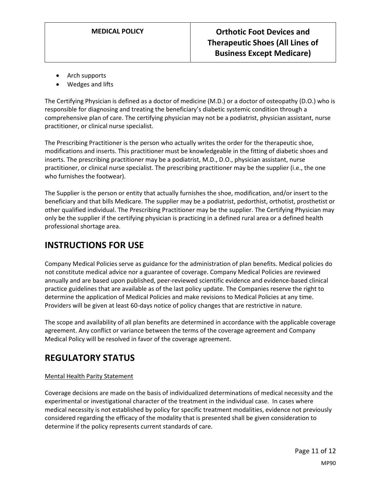- Arch supports
- Wedges and lifts

The Certifying Physician is defined as a doctor of medicine (M.D.) or a doctor of osteopathy (D.O.) who is responsible for diagnosing and treating the beneficiary's diabetic systemic condition through a comprehensive plan of care. The certifying physician may not be a podiatrist, physician assistant, nurse practitioner, or clinical nurse specialist.

The Prescribing Practitioner is the person who actually writes the order for the therapeutic shoe, modifications and inserts. This practitioner must be knowledgeable in the fitting of diabetic shoes and inserts. The prescribing practitioner may be a podiatrist, M.D., D.O., physician assistant, nurse practitioner, or clinical nurse specialist. The prescribing practitioner may be the supplier (i.e., the one who furnishes the footwear).

The Supplier is the person or entity that actually furnishes the shoe, modification, and/or insert to the beneficiary and that bills Medicare. The supplier may be a podiatrist, pedorthist, orthotist, prosthetist or other qualified individual. The Prescribing Practitioner may be the supplier. The Certifying Physician may only be the supplier if the certifying physician is practicing in a defined rural area or a defined health professional shortage area.

## **INSTRUCTIONS FOR USE**

Company Medical Policies serve as guidance for the administration of plan benefits. Medical policies do not constitute medical advice nor a guarantee of coverage. Company Medical Policies are reviewed annually and are based upon published, peer-reviewed scientific evidence and evidence-based clinical practice guidelines that are available as of the last policy update. The Companies reserve the right to determine the application of Medical Policies and make revisions to Medical Policies at any time. Providers will be given at least 60-days notice of policy changes that are restrictive in nature.

The scope and availability of all plan benefits are determined in accordance with the applicable coverage agreement. Any conflict or variance between the terms of the coverage agreement and Company Medical Policy will be resolved in favor of the coverage agreement.

## **REGULATORY STATUS**

### Mental Health Parity Statement

Coverage decisions are made on the basis of individualized determinations of medical necessity and the experimental or investigational character of the treatment in the individual case. In cases where medical necessity is not established by policy for specific treatment modalities, evidence not previously considered regarding the efficacy of the modality that is presented shall be given consideration to determine if the policy represents current standards of care.